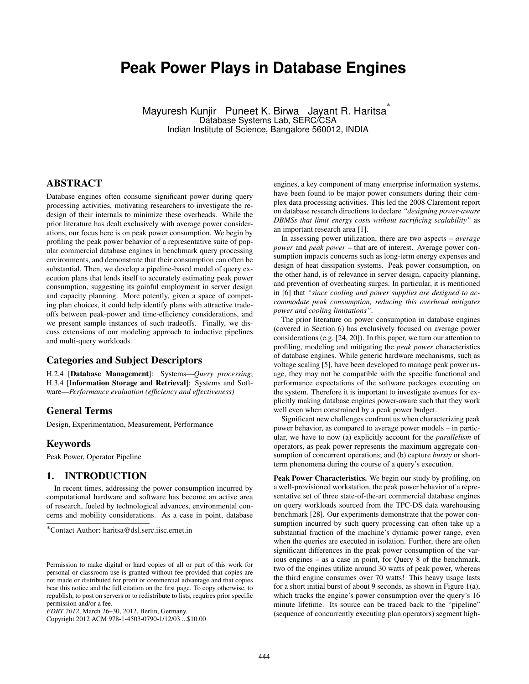# **Peak Power Plays in Database Engines**

Mayuresh Kunjir Puneet K. Birwa Jayant R. Haritsa $^*$ Database Systems Lab, SERC/CSA Indian Institute of Science, Bangalore 560012, INDIA

# ABSTRACT

Database engines often consume significant power during query processing activities, motivating researchers to investigate the redesign of their internals to minimize these overheads. While the prior literature has dealt exclusively with average power considerations, our focus here is on peak power consumption. We begin by profiling the peak power behavior of a representative suite of popular commercial database engines in benchmark query processing environments, and demonstrate that their consumption can often be substantial. Then, we develop a pipeline-based model of query execution plans that lends itself to accurately estimating peak power consumption, suggesting its gainful employment in server design and capacity planning. More potently, given a space of competing plan choices, it could help identify plans with attractive tradeoffs between peak-power and time-efficiency considerations, and we present sample instances of such tradeoffs. Finally, we discuss extensions of our modeling approach to inductive pipelines and multi-query workloads.

## Categories and Subject Descriptors

H.2.4 [Database Management]: Systems—*Query processing*; H.3.4 [Information Storage and Retrieval]: Systems and Software—*Performance evaluation (efficiency and effectiveness)*

## General Terms

Design, Experimentation, Measurement, Performance

#### Keywords

Peak Power, Operator Pipeline

## 1. INTRODUCTION

In recent times, addressing the power consumption incurred by computational hardware and software has become an active area of research, fueled by technological advances, environmental concerns and mobility considerations. As a case in point, database

Copyright 2012 ACM 978-1-4503-0790-1/12/03 ...\$10.00

engines, a key component of many enterprise information systems, have been found to be major power consumers during their complex data processing activities. This led the 2008 Claremont report on database research directions to declare *"designing power-aware DBMSs that limit energy costs without sacrificing scalability"* as an important research area [1].

In assessing power utilization, there are two aspects – *average power* and *peak power* – that are of interest. Average power consumption impacts concerns such as long-term energy expenses and design of heat dissipation systems. Peak power consumption, on the other hand, is of relevance in server design, capacity planning, and prevention of overheating surges. In particular, it is mentioned in [6] that *"since cooling and power supplies are designed to accommodate peak consumption, reducing this overhead mitigates power and cooling limitations"*.

The prior literature on power consumption in database engines (covered in Section 6) has exclusively focused on average power considerations (e.g. [24, 20]). In this paper, we turn our attention to profiling, modeling and mitigating the *peak power* characteristics of database engines. While generic hardware mechanisms, such as voltage scaling [5], have been developed to manage peak power usage, they may not be compatible with the specific functional and performance expectations of the software packages executing on the system. Therefore it is important to investigate avenues for explicitly making database engines power-aware such that they work well even when constrained by a peak power budget.

Significant new challenges confront us when characterizing peak power behavior, as compared to average power models – in particular, we have to now (a) explicitly account for the *parallelism* of operators, as peak power represents the maximum aggregate consumption of concurrent operations; and (b) capture *bursty* or shortterm phenomena during the course of a query's execution.

Peak Power Characteristics. We begin our study by profiling, on a well-provisioned workstation, the peak power behavior of a representative set of three state-of-the-art commercial database engines on query workloads sourced from the TPC-DS data warehousing benchmark [28]. Our experiments demonstrate that the power consumption incurred by such query processing can often take up a substantial fraction of the machine's dynamic power range, even when the queries are executed in isolation. Further, there are often significant differences in the peak power consumption of the various engines – as a case in point, for Query 8 of the benchmark, two of the engines utilize around 30 watts of peak power, whereas the third engine consumes over 70 watts! This heavy usage lasts for a short initial burst of about 9 seconds, as shown in Figure 1(a), which tracks the engine's power consumption over the query's 16 minute lifetime. Its source can be traced back to the "pipeline" (sequence of concurrently executing plan operators) segment high-

<sup>∗</sup>Contact Author: haritsa@dsl.serc.iisc.ernet.in

Permission to make digital or hard copies of all or part of this work for personal or classroom use is granted without fee provided that copies are not made or distributed for profit or commercial advantage and that copies bear this notice and the full citation on the first page. To copy otherwise, to republish, to post on servers or to redistribute to lists, requires prior specific permission and/or a fee.

*EDBT 2012*, March 26–30, 2012, Berlin, Germany.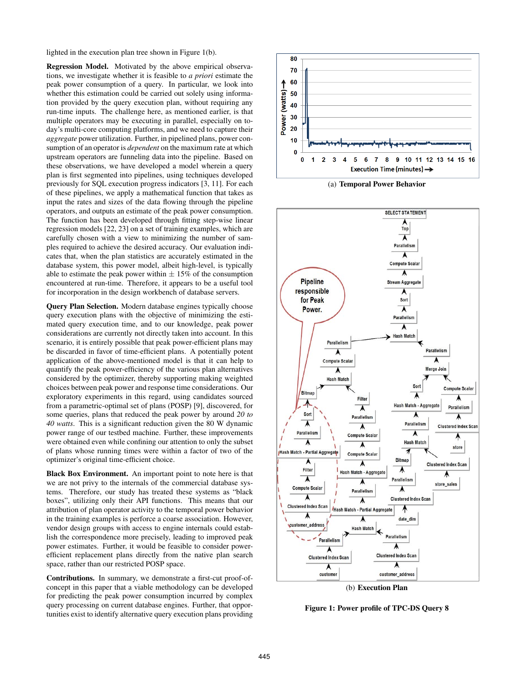lighted in the execution plan tree shown in Figure 1(b).

Regression Model. Motivated by the above empirical observations, we investigate whether it is feasible to *a priori* estimate the peak power consumption of a query. In particular, we look into whether this estimation could be carried out solely using information provided by the query execution plan, without requiring any run-time inputs. The challenge here, as mentioned earlier, is that multiple operators may be executing in parallel, especially on today's multi-core computing platforms, and we need to capture their *aggregate* power utilization. Further, in pipelined plans, power consumption of an operator is *dependent* on the maximum rate at which upstream operators are funneling data into the pipeline. Based on these observations, we have developed a model wherein a query plan is first segmented into pipelines, using techniques developed previously for SQL execution progress indicators [3, 11]. For each of these pipelines, we apply a mathematical function that takes as input the rates and sizes of the data flowing through the pipeline operators, and outputs an estimate of the peak power consumption. The function has been developed through fitting step-wise linear regression models [22, 23] on a set of training examples, which are carefully chosen with a view to minimizing the number of samples required to achieve the desired accuracy. Our evaluation indicates that, when the plan statistics are accurately estimated in the database system, this power model, albeit high-level, is typically able to estimate the peak power within  $\pm$  15% of the consumption encountered at run-time. Therefore, it appears to be a useful tool for incorporation in the design workbench of database servers.

Query Plan Selection. Modern database engines typically choose query execution plans with the objective of minimizing the estimated query execution time, and to our knowledge, peak power considerations are currently not directly taken into account. In this scenario, it is entirely possible that peak power-efficient plans may be discarded in favor of time-efficient plans. A potentially potent application of the above-mentioned model is that it can help to quantify the peak power-efficiency of the various plan alternatives considered by the optimizer, thereby supporting making weighted choices between peak power and response time considerations. Our exploratory experiments in this regard, using candidates sourced from a parametric-optimal set of plans (POSP) [9], discovered, for some queries, plans that reduced the peak power by around *20 to 40 watts*. This is a significant reduction given the 80 W dynamic power range of our testbed machine. Further, these improvements were obtained even while confining our attention to only the subset of plans whose running times were within a factor of two of the optimizer's original time-efficient choice.

Black Box Environment. An important point to note here is that we are not privy to the internals of the commercial database systems. Therefore, our study has treated these systems as "black boxes", utilizing only their API functions. This means that our attribution of plan operator activity to the temporal power behavior in the training examples is perforce a coarse association. However, vendor design groups with access to engine internals could establish the correspondence more precisely, leading to improved peak power estimates. Further, it would be feasible to consider powerefficient replacement plans directly from the native plan search space, rather than our restricted POSP space.

Contributions. In summary, we demonstrate a first-cut proof-ofconcept in this paper that a viable methodology can be developed for predicting the peak power consumption incurred by complex query processing on current database engines. Further, that opportunities exist to identify alternative query execution plans providing



(a) Temporal Power Behavior



(b) Execution Plan

Figure 1: Power profile of TPC-DS Query 8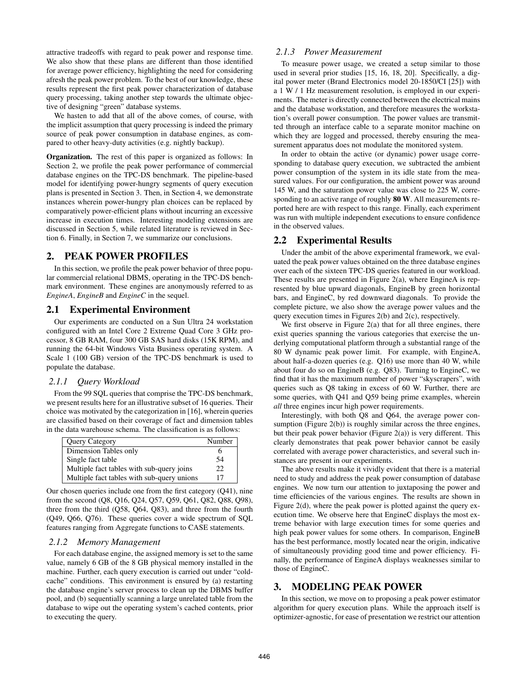attractive tradeoffs with regard to peak power and response time. We also show that these plans are different than those identified for average power efficiency, highlighting the need for considering afresh the peak power problem. To the best of our knowledge, these results represent the first peak power characterization of database query processing, taking another step towards the ultimate objective of designing "green" database systems.

We hasten to add that all of the above comes, of course, with the implicit assumption that query processing is indeed the primary source of peak power consumption in database engines, as compared to other heavy-duty activities (e.g. nightly backup).

Organization. The rest of this paper is organized as follows: In Section 2, we profile the peak power performance of commercial database engines on the TPC-DS benchmark. The pipeline-based model for identifying power-hungry segments of query execution plans is presented in Section 3. Then, in Section 4, we demonstrate instances wherein power-hungry plan choices can be replaced by comparatively power-efficient plans without incurring an excessive increase in execution times. Interesting modeling extensions are discussed in Section 5, while related literature is reviewed in Section 6. Finally, in Section 7, we summarize our conclusions.

# 2. PEAK POWER PROFILES

In this section, we profile the peak power behavior of three popular commercial relational DBMS, operating in the TPC-DS benchmark environment. These engines are anonymously referred to as *EngineA*, *EngineB* and *EngineC* in the sequel.

### 2.1 Experimental Environment

Our experiments are conducted on a Sun Ultra 24 workstation configured with an Intel Core 2 Extreme Quad Core 3 GHz processor, 8 GB RAM, four 300 GB SAS hard disks (15K RPM), and running the 64-bit Windows Vista Business operating system. A Scale 1 (100 GB) version of the TPC-DS benchmark is used to populate the database.

### *2.1.1 Query Workload*

From the 99 SQL queries that comprise the TPC-DS benchmark, we present results here for an illustrative subset of 16 queries. Their choice was motivated by the categorization in [16], wherein queries are classified based on their coverage of fact and dimension tables in the data warehouse schema. The classification is as follows:

| <b>Query Category</b>                      | Number |
|--------------------------------------------|--------|
| Dimension Tables only                      |        |
| Single fact table                          | 54     |
| Multiple fact tables with sub-query joins  | 22     |
| Multiple fact tables with sub-query unions | 17     |

Our chosen queries include one from the first category (Q41), nine from the second (Q8, Q16, Q24, Q57, Q59, Q61, Q82, Q88, Q98), three from the third (Q58, Q64, Q83), and three from the fourth (Q49, Q66, Q76). These queries cover a wide spectrum of SQL features ranging from Aggregate functions to CASE statements.

### *2.1.2 Memory Management*

For each database engine, the assigned memory is set to the same value, namely 6 GB of the 8 GB physical memory installed in the machine. Further, each query execution is carried out under "coldcache" conditions. This environment is ensured by (a) restarting the database engine's server process to clean up the DBMS buffer pool, and (b) sequentially scanning a large unrelated table from the database to wipe out the operating system's cached contents, prior to executing the query.

## *2.1.3 Power Measurement*

To measure power usage, we created a setup similar to those used in several prior studies [15, 16, 18, 20]. Specifically, a digital power meter (Brand Electronics model 20-1850/CI [25]) with a 1 W / 1 Hz measurement resolution, is employed in our experiments. The meter is directly connected between the electrical mains and the database workstation, and therefore measures the workstation's overall power consumption. The power values are transmitted through an interface cable to a separate monitor machine on which they are logged and processed, thereby ensuring the measurement apparatus does not modulate the monitored system.

In order to obtain the active (or dynamic) power usage corresponding to database query execution, we subtracted the ambient power consumption of the system in its idle state from the measured values. For our configuration, the ambient power was around 145 W, and the saturation power value was close to 225 W, corresponding to an active range of roughly 80 W. All measurements reported here are with respect to this range. Finally, each experiment was run with multiple independent executions to ensure confidence in the observed values.

### 2.2 Experimental Results

Under the ambit of the above experimental framework, we evaluated the peak power values obtained on the three database engines over each of the sixteen TPC-DS queries featured in our workload. These results are presented in Figure 2(a), where EngineA is represented by blue upward diagonals, EngineB by green horizontal bars, and EngineC, by red downward diagonals. To provide the complete picture, we also show the average power values and the query execution times in Figures 2(b) and 2(c), respectively.

We first observe in Figure  $2(a)$  that for all three engines, there exist queries spanning the various categories that exercise the underlying computational platform through a substantial range of the 80 W dynamic peak power limit. For example, with EngineA, about half-a-dozen queries (e.g. Q16) use more than 40 W, while about four do so on EngineB (e.g. Q83). Turning to EngineC, we find that it has the maximum number of power "skyscrapers", with queries such as Q8 taking in excess of 60 W. Further, there are some queries, with Q41 and Q59 being prime examples, wherein *all* three engines incur high power requirements.

Interestingly, with both Q8 and Q64, the average power consumption (Figure 2(b)) is roughly similar across the three engines, but their peak power behavior (Figure 2(a)) is very different. This clearly demonstrates that peak power behavior cannot be easily correlated with average power characteristics, and several such instances are present in our experiments.

The above results make it vividly evident that there is a material need to study and address the peak power consumption of database engines. We now turn our attention to juxtaposing the power and time efficiencies of the various engines. The results are shown in Figure 2(d), where the peak power is plotted against the query execution time. We observe here that EngineC displays the most extreme behavior with large execution times for some queries and high peak power values for some others. In comparison, EngineB has the best performance, mostly located near the origin, indicative of simultaneously providing good time and power efficiency. Finally, the performance of EngineA displays weaknesses similar to those of EngineC.

## 3. MODELING PEAK POWER

In this section, we move on to proposing a peak power estimator algorithm for query execution plans. While the approach itself is optimizer-agnostic, for ease of presentation we restrict our attention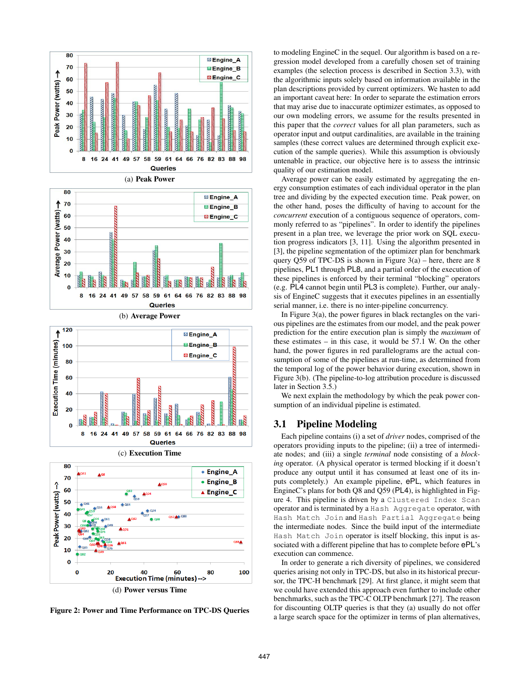





(b) Average Power







Figure 2: Power and Time Performance on TPC-DS Queries

to modeling EngineC in the sequel. Our algorithm is based on a regression model developed from a carefully chosen set of training examples (the selection process is described in Section 3.3), with the algorithmic inputs solely based on information available in the plan descriptions provided by current optimizers. We hasten to add an important caveat here: In order to separate the estimation errors that may arise due to inaccurate optimizer estimates, as opposed to our own modeling errors, we assume for the results presented in this paper that the *correct* values for all plan parameters, such as operator input and output cardinalities, are available in the training samples (these correct values are determined through explicit execution of the sample queries). While this assumption is obviously untenable in practice, our objective here is to assess the intrinsic quality of our estimation model.

Average power can be easily estimated by aggregating the energy consumption estimates of each individual operator in the plan tree and dividing by the expected execution time. Peak power, on the other hand, poses the difficulty of having to account for the *concurrent* execution of a contiguous sequence of operators, commonly referred to as "pipelines". In order to identify the pipelines present in a plan tree, we leverage the prior work on SQL execution progress indicators [3, 11]. Using the algorithm presented in [3], the pipeline segmentation of the optimizer plan for benchmark query Q59 of TPC-DS is shown in Figure  $3(a)$  – here, there are 8 pipelines, PL1 through PL8, and a partial order of the execution of these pipelines is enforced by their terminal "blocking" operators (e.g. PL4 cannot begin until PL3 is complete). Further, our analysis of EngineC suggests that it executes pipelines in an essentially serial manner, i.e. there is no inter-pipeline concurrency.

In Figure 3(a), the power figures in black rectangles on the various pipelines are the estimates from our model, and the peak power prediction for the entire execution plan is simply the *maximum* of these estimates – in this case, it would be 57.1 W. On the other hand, the power figures in red parallelograms are the actual consumption of some of the pipelines at run-time, as determined from the temporal log of the power behavior during execution, shown in Figure 3(b). (The pipeline-to-log attribution procedure is discussed later in Section 3.5.)

We next explain the methodology by which the peak power consumption of an individual pipeline is estimated.

### 3.1 Pipeline Modeling

Each pipeline contains (i) a set of *driver* nodes, comprised of the operators providing inputs to the pipeline; (ii) a tree of intermediate nodes; and (iii) a single *terminal* node consisting of a *blocking* operator. (A physical operator is termed blocking if it doesn't produce any output until it has consumed at least one of its inputs completely.) An example pipeline, ePL, which features in EngineC's plans for both Q8 and Q59 (PL4), is highlighted in Figure 4. This pipeline is driven by a Clustered Index Scan operator and is terminated by a Hash Aggregate operator, with Hash Match Join and Hash Partial Aggregate being the intermediate nodes. Since the build input of the intermediate Hash Match Join operator is itself blocking, this input is associated with a different pipeline that has to complete before ePL's execution can commence.

In order to generate a rich diversity of pipelines, we considered queries arising not only in TPC-DS, but also in its historical precursor, the TPC-H benchmark [29]. At first glance, it might seem that we could have extended this approach even further to include other benchmarks, such as the TPC-C OLTP benchmark [27]. The reason for discounting OLTP queries is that they (a) usually do not offer a large search space for the optimizer in terms of plan alternatives,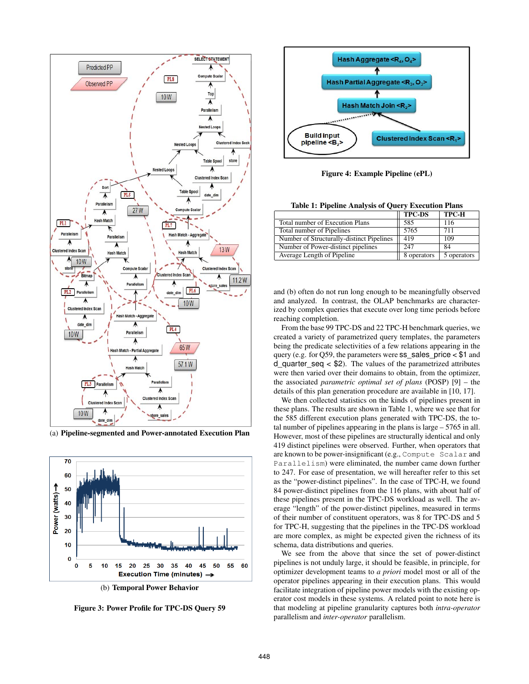

(a) Pipeline-segmented and Power-annotated Execution Plan



(b) Temporal Power Behavior

Figure 3: Power Profile for TPC-DS Query 59



Figure 4: Example Pipeline (ePL)

Table 1: Pipeline Analysis of Query Execution Plans

|                                           | <b>TPC-DS</b> | <b>TPC-H</b> |
|-------------------------------------------|---------------|--------------|
| Total number of Execution Plans           | 585           | 116          |
| Total number of Pipelines                 | 5765          | 711          |
| Number of Structurally-distinct Pipelines | 419           | 109          |
| Number of Power-distinct pipelines        | 247           | 84           |
| Average Length of Pipeline                | 8 operators   | 5 operators  |

and (b) often do not run long enough to be meaningfully observed and analyzed. In contrast, the OLAP benchmarks are characterized by complex queries that execute over long time periods before reaching completion.

From the base 99 TPC-DS and 22 TPC-H benchmark queries, we created a variety of parametrized query templates, the parameters being the predicate selectivities of a few relations appearing in the query (e.g. for Q59, the parameters were ss\_sales\_price < \$1 and d\_quarter\_seq < \$2). The values of the parametrized attributes were then varied over their domains to obtain, from the optimizer, the associated *parametric optimal set of plans* (POSP) [9] – the details of this plan generation procedure are available in [10, 17].

We then collected statistics on the kinds of pipelines present in these plans. The results are shown in Table 1, where we see that for the 585 different execution plans generated with TPC-DS, the total number of pipelines appearing in the plans is large – 5765 in all. However, most of these pipelines are structurally identical and only 419 distinct pipelines were observed. Further, when operators that are known to be power-insignificant (e.g., Compute Scalar and Parallelism) were eliminated, the number came down further to 247. For ease of presentation, we will hereafter refer to this set as the "power-distinct pipelines". In the case of TPC-H, we found 84 power-distinct pipelines from the 116 plans, with about half of these pipelines present in the TPC-DS workload as well. The average "length" of the power-distinct pipelines, measured in terms of their number of constituent operators, was 8 for TPC-DS and 5 for TPC-H, suggesting that the pipelines in the TPC-DS workload are more complex, as might be expected given the richness of its schema, data distributions and queries.

We see from the above that since the set of power-distinct pipelines is not unduly large, it should be feasible, in principle, for optimizer development teams to *a priori* model most or all of the operator pipelines appearing in their execution plans. This would facilitate integration of pipeline power models with the existing operator cost models in these systems. A related point to note here is that modeling at pipeline granularity captures both *intra-operator* parallelism and *inter-operator* parallelism.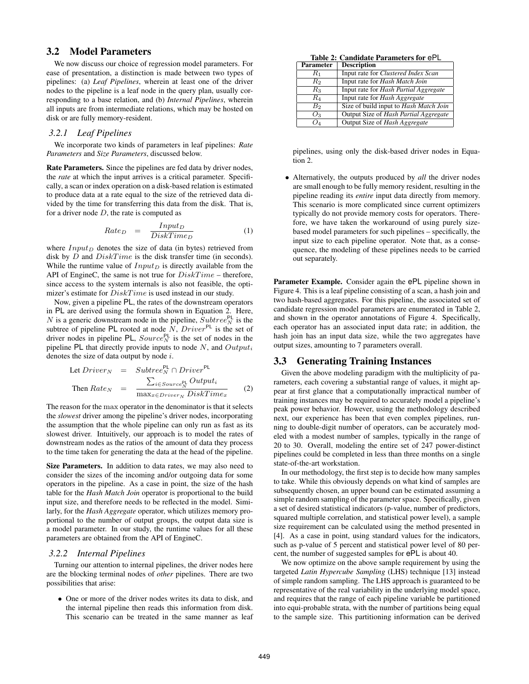# 3.2 Model Parameters

We now discuss our choice of regression model parameters. For ease of presentation, a distinction is made between two types of pipelines: (a) *Leaf Pipelines*, wherein at least one of the driver nodes to the pipeline is a leaf node in the query plan, usually corresponding to a base relation, and (b) *Internal Pipelines*, wherein all inputs are from intermediate relations, which may be hosted on disk or are fully memory-resident.

#### *3.2.1 Leaf Pipelines*

We incorporate two kinds of parameters in leaf pipelines: *Rate Parameters* and *Size Parameters*, discussed below.

Rate Parameters. Since the pipelines are fed data by driver nodes, the *rate* at which the input arrives is a critical parameter. Specifically, a scan or index operation on a disk-based relation is estimated to produce data at a rate equal to the size of the retrieved data divided by the time for transferring this data from the disk. That is, for a driver node  $D$ , the rate is computed as

$$
Rate_D = \frac{Input_D}{DiskTime_D} \tag{1}
$$

where  $Input_D$  denotes the size of data (in bytes) retrieved from disk by  $D$  and  $DiskTime$  is the disk transfer time (in seconds). While the runtime value of  $Input_D$  is directly available from the API of EngineC, the same is not true for  $DiskTime$  – therefore, since access to the system internals is also not feasible, the optimizer's estimate for  $DiskTime$  is used instead in our study.

Now, given a pipeline PL, the rates of the downstream operators in PL are derived using the formula shown in Equation 2. Here, N is a generic downstream node in the pipeline,  $Subtree_N^{\text{PL}}$  is the subtree of pipeline PL rooted at node  $N$ ,  $Driver<sup>PL</sup>$  is the set of driver nodes in pipeline PL,  $Source_N^{PL}$  is the set of nodes in the pipeline PL that directly provide inputs to node  $N$ , and  $Output_i$ denotes the size of data output by node  $i$ .

Let 
$$
Driver_N = Subtree_N^{PL} \cap Driver^{PL}
$$
  
Then 
$$
Rate_N = \frac{\sum_{i \in Source_N^P} Output_i}{\max_{x \in Driver_N} DiskTime_x}
$$
 (2)

The reason for the max operator in the denominator is that it selects the *slowest* driver among the pipeline's driver nodes, incorporating the assumption that the whole pipeline can only run as fast as its slowest driver. Intuitively, our approach is to model the rates of downstream nodes as the ratios of the amount of data they process to the time taken for generating the data at the head of the pipeline.

Size Parameters. In addition to data rates, we may also need to consider the sizes of the incoming and/or outgoing data for some operators in the pipeline. As a case in point, the size of the hash table for the *Hash Match Join* operator is proportional to the build input size, and therefore needs to be reflected in the model. Similarly, for the *Hash Aggregate* operator, which utilizes memory proportional to the number of output groups, the output data size is a model parameter. In our study, the runtime values for all these parameters are obtained from the API of EngineC.

#### *3.2.2 Internal Pipelines*

Turning our attention to internal pipelines, the driver nodes here are the blocking terminal nodes of *other* pipelines. There are two possibilities that arise:

• One or more of the driver nodes writes its data to disk, and the internal pipeline then reads this information from disk. This scenario can be treated in the same manner as leaf

Table 2: Candidate Parameters for ePL

| Parameter      | <b>Description</b>                     |
|----------------|----------------------------------------|
| $R_1$          | Input rate for Clustered Index Scan    |
| R <sub>2</sub> | Input rate for Hash Match Join         |
| $R_3$          | Input rate for Hash Partial Aggregate  |
| $R_{4}$        | Input rate for Hash Aggregate          |
| Вэ             | Size of build input to Hash Match Join |
| Oз             | Output Size of Hash Partial Aggregate  |
| O4             | Output Size of Hash Aggregate          |

pipelines, using only the disk-based driver nodes in Equation 2.

• Alternatively, the outputs produced by *all* the driver nodes are small enough to be fully memory resident, resulting in the pipeline reading its *entire* input data directly from memory. This scenario is more complicated since current optimizers typically do not provide memory costs for operators. Therefore, we have taken the workaround of using purely sizebased model parameters for such pipelines – specifically, the input size to each pipeline operator. Note that, as a consequence, the modeling of these pipelines needs to be carried out separately.

Parameter Example. Consider again the ePL pipeline shown in Figure 4. This is a leaf pipeline consisting of a scan, a hash join and two hash-based aggregates. For this pipeline, the associated set of candidate regression model parameters are enumerated in Table 2, and shown in the operator annotations of Figure 4. Specifically, each operator has an associated input data rate; in addition, the hash join has an input data size, while the two aggregates have output sizes, amounting to 7 parameters overall.

### 3.3 Generating Training Instances

Given the above modeling paradigm with the multiplicity of parameters, each covering a substantial range of values, it might appear at first glance that a computationally impractical number of training instances may be required to accurately model a pipeline's peak power behavior. However, using the methodology described next, our experience has been that even complex pipelines, running to double-digit number of operators, can be accurately modeled with a modest number of samples, typically in the range of 20 to 30. Overall, modeling the entire set of 247 power-distinct pipelines could be completed in less than three months on a single state-of-the-art workstation.

In our methodology, the first step is to decide how many samples to take. While this obviously depends on what kind of samples are subsequently chosen, an upper bound can be estimated assuming a simple random sampling of the parameter space. Specifically, given a set of desired statistical indicators (p-value, number of predictors, squared multiple correlation, and statistical power level), a sample size requirement can be calculated using the method presented in [4]. As a case in point, using standard values for the indicators, such as p-value of 5 percent and statistical power level of 80 percent, the number of suggested samples for ePL is about 40.

We now optimize on the above sample requirement by using the targeted *Latin Hypercube Sampling* (LHS) technique [13] instead of simple random sampling. The LHS approach is guaranteed to be representative of the real variability in the underlying model space, and requires that the range of each pipeline variable be partitioned into equi-probable strata, with the number of partitions being equal to the sample size. This partitioning information can be derived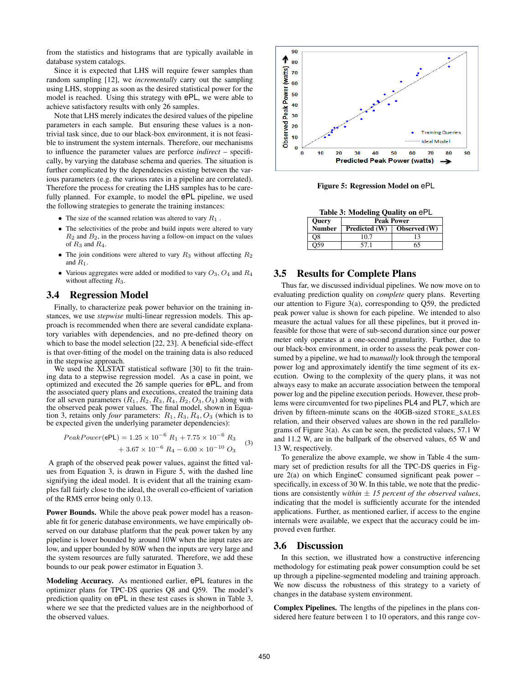from the statistics and histograms that are typically available in database system catalogs.

Since it is expected that LHS will require fewer samples than random sampling [12], we *incrementally* carry out the sampling using LHS, stopping as soon as the desired statistical power for the model is reached. Using this strategy with ePL, we were able to achieve satisfactory results with only 26 samples.

Note that LHS merely indicates the desired values of the pipeline parameters in each sample. But ensuring these values is a nontrivial task since, due to our black-box environment, it is not feasible to instrument the system internals. Therefore, our mechanisms to influence the parameter values are perforce *indirect* – specifically, by varying the database schema and queries. The situation is further complicated by the dependencies existing between the various parameters (e.g. the various rates in a pipeline are correlated). Therefore the process for creating the LHS samples has to be carefully planned. For example, to model the ePL pipeline, we used the following strategies to generate the training instances:

- The size of the scanned relation was altered to vary  $R_1$ .
- The selectivities of the probe and build inputs were altered to vary  $R_2$  and  $B_2$ , in the process having a follow-on impact on the values of  $R_3$  and  $R_4$ .
- The join conditions were altered to vary  $R_3$  without affecting  $R_2$ and  $R_1$ .
- Various aggregates were added or modified to vary  $O_3$ ,  $O_4$  and  $R_4$ without affecting  $R_3$ .

### 3.4 Regression Model

Finally, to characterize peak power behavior on the training instances, we use *stepwise* multi-linear regression models. This approach is recommended when there are several candidate explanatory variables with dependencies, and no pre-defined theory on which to base the model selection [22, 23]. A beneficial side-effect is that over-fitting of the model on the training data is also reduced in the stepwise approach.

We used the  $X\&LSTAT$  statistical software [30] to fit the training data to a stepwise regression model. As a case in point, we optimized and executed the 26 sample queries for ePL, and from the associated query plans and executions, created the training data for all seven parameters  $(R_1, R_2, R_3, R_4, B_2, O_3, O_4)$  along with the observed peak power values. The final model, shown in Equation 3, retains only *four* parameters:  $R_1, R_3, R_4, O_3$  (which is to be expected given the underlying parameter dependencies):

$$
PeakPower(ePL) = 1.25 \times 10^{-6} R_1 + 7.75 \times 10^{-6} R_3
$$
  
+ 3.67 × 10<sup>-6</sup> R<sub>4</sub> - 6.00 × 10<sup>-10</sup> O<sub>3</sub> (3)

A graph of the observed peak power values, against the fitted values from Equation 3, is drawn in Figure 5, with the dashed line signifying the ideal model. It is evident that all the training examples fall fairly close to the ideal, the overall co-efficient of variation of the RMS error being only 0.13.

Power Bounds. While the above peak power model has a reasonable fit for generic database environments, we have empirically observed on our database platform that the peak power taken by any pipeline is lower bounded by around 10W when the input rates are low, and upper bounded by 80W when the inputs are very large and the system resources are fully saturated. Therefore, we add these bounds to our peak power estimator in Equation 3.

Modeling Accuracy. As mentioned earlier, ePL features in the optimizer plans for TPC-DS queries Q8 and Q59. The model's prediction quality on ePL in these test cases is shown in Table 3, where we see that the predicted values are in the neighborhood of the observed values.



Figure 5: Regression Model on ePL

| Table 3: Modeling Quality on ePL |                                                  |    |  |
|----------------------------------|--------------------------------------------------|----|--|
| <b>Query</b>                     | <b>Peak Power</b>                                |    |  |
| Number                           | <b>Predicted (W)</b> $\vert$ <b>Observed (W)</b> |    |  |
| O8                               | 10.7                                             | 13 |  |
| $\overline{O59}$                 | 57.1                                             | 65 |  |

#### 3.5 Results for Complete Plans

Thus far, we discussed individual pipelines. We now move on to evaluating prediction quality on *complete* query plans. Reverting our attention to Figure 3(a), corresponding to Q59, the predicted peak power value is shown for each pipeline. We intended to also measure the actual values for all these pipelines, but it proved infeasible for those that were of sub-second duration since our power meter only operates at a one-second granularity. Further, due to our black-box environment, in order to assess the peak power consumed by a pipeline, we had to *manually* look through the temporal power log and approximately identify the time segment of its execution. Owing to the complexity of the query plans, it was not always easy to make an accurate association between the temporal power log and the pipeline execution periods. However, these problems were circumvented for two pipelines PL4 and PL7, which are driven by fifteen-minute scans on the 40GB-sized STORE\_SALES relation, and their observed values are shown in the red parallelograms of Figure 3(a). As can be seen, the predicted values, 57.1 W and 11.2 W, are in the ballpark of the observed values, 65 W and 13 W, respectively.

To generalize the above example, we show in Table 4 the summary set of prediction results for all the TPC-DS queries in Figure 2(a) on which EngineC consumed significant peak power – specifically, in excess of 30 W. In this table, we note that the predictions are consistently *within* ± *15 percent of the observed values*, indicating that the model is sufficiently accurate for the intended applications. Further, as mentioned earlier, if access to the engine internals were available, we expect that the accuracy could be improved even further.

#### 3.6 Discussion

In this section, we illustrated how a constructive inferencing methodology for estimating peak power consumption could be set up through a pipeline-segmented modeling and training approach. We now discuss the robustness of this strategy to a variety of changes in the database system environment.

Complex Pipelines. The lengths of the pipelines in the plans considered here feature between 1 to 10 operators, and this range cov-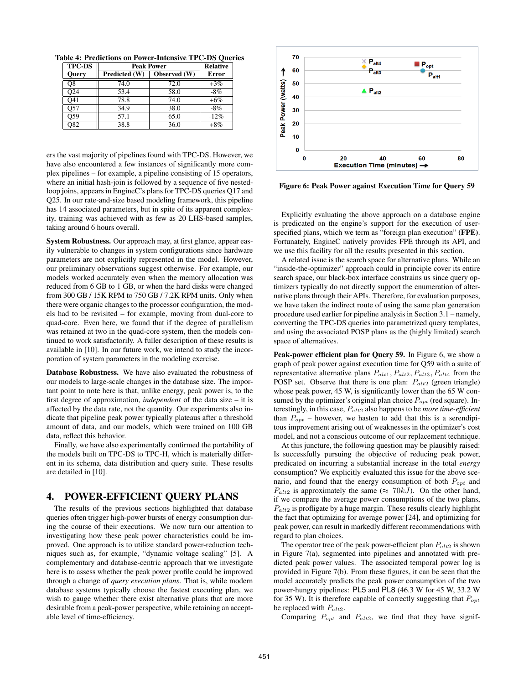Table 4: Predictions on Power-Intensive TPC-DS Queries

| <b>TPC-DS</b> | <b>Peak Power</b> |                     | <b>Relative</b> |
|---------------|-------------------|---------------------|-----------------|
| <b>Ouery</b>  | Predicted (W)     | <b>Observed</b> (W) | Error           |
| Э8            | 74.0              | 72.0                | $+3\%$          |
| 024           | 53.4              | 58.0                | $-8%$           |
| O41           | 78.8              | 74.0                | $+6%$           |
| 357           | 34.9              | 38.0                | $-8%$           |
| 059           | 57.1              | 65.0                | $-12%$          |
| O82           | 38.8              | 36.0                | $+8\%$          |

ers the vast majority of pipelines found with TPC-DS. However, we have also encountered a few instances of significantly more complex pipelines – for example, a pipeline consisting of 15 operators, where an initial hash-join is followed by a sequence of five nestedloop joins, appears in EngineC's plans for TPC-DS queries Q17 and Q25. In our rate-and-size based modeling framework, this pipeline has 14 associated parameters, but in spite of its apparent complexity, training was achieved with as few as 20 LHS-based samples, taking around 6 hours overall.

System Robustness. Our approach may, at first glance, appear easily vulnerable to changes in system configurations since hardware parameters are not explicitly represented in the model. However, our preliminary observations suggest otherwise. For example, our models worked accurately even when the memory allocation was reduced from 6 GB to 1 GB, or when the hard disks were changed from 300 GB / 15K RPM to 750 GB / 7.2K RPM units. Only when there were organic changes to the processor configuration, the models had to be revisited – for example, moving from dual-core to quad-core. Even here, we found that if the degree of parallelism was retained at two in the quad-core system, then the models continued to work satisfactorily. A fuller description of these results is available in [10]. In our future work, we intend to study the incorporation of system parameters in the modeling exercise.

Database Robustness. We have also evaluated the robustness of our models to large-scale changes in the database size. The important point to note here is that, unlike energy, peak power is, to the first degree of approximation, *independent* of the data size – it is affected by the data rate, not the quantity. Our experiments also indicate that pipeline peak power typically plateaus after a threshold amount of data, and our models, which were trained on 100 GB data, reflect this behavior.

Finally, we have also experimentally confirmed the portability of the models built on TPC-DS to TPC-H, which is materially different in its schema, data distribution and query suite. These results are detailed in [10].

## 4. POWER-EFFICIENT QUERY PLANS

The results of the previous sections highlighted that database queries often trigger high-power bursts of energy consumption during the course of their executions. We now turn our attention to investigating how these peak power characteristics could be improved. One approach is to utilize standard power-reduction techniques such as, for example, "dynamic voltage scaling" [5]. A complementary and database-centric approach that we investigate here is to assess whether the peak power profile could be improved through a change of *query execution plans*. That is, while modern database systems typically choose the fastest executing plan, we wish to gauge whether there exist alternative plans that are more desirable from a peak-power perspective, while retaining an acceptable level of time-efficiency.



Figure 6: Peak Power against Execution Time for Query 59

Explicitly evaluating the above approach on a database engine is predicated on the engine's support for the execution of userspecified plans, which we term as "foreign plan execution" (FPE). Fortunately, EngineC natively provides FPE through its API, and we use this facility for all the results presented in this section.

A related issue is the search space for alternative plans. While an "inside-the-optimizer" approach could in principle cover its entire search space, our black-box interface constrains us since query optimizers typically do not directly support the enumeration of alternative plans through their APIs. Therefore, for evaluation purposes, we have taken the indirect route of using the same plan generation procedure used earlier for pipeline analysis in Section 3.1 – namely, converting the TPC-DS queries into parametrized query templates, and using the associated POSP plans as the (highly limited) search space of alternatives.

Peak-power efficient plan for Query 59. In Figure 6, we show a graph of peak power against execution time for Q59 with a suite of representative alternative plans  $P_{alt1}, P_{alt2}, P_{alt3}, P_{alt4}$  from the POSP set. Observe that there is one plan:  $P_{alt2}$  (green triangle) whose peak power, 45 W, is significantly lower than the 65 W consumed by the optimizer's original plan choice  $P_{opt}$  (red square). Interestingly, in this case, Palt<sup>2</sup> also happens to be *more time-efficient* than  $P_{opt}$  – however, we hasten to add that this is a serendipitous improvement arising out of weaknesses in the optimizer's cost model, and not a conscious outcome of our replacement technique.

At this juncture, the following question may be plausibly raised: Is successfully pursuing the objective of reducing peak power, predicated on incurring a substantial increase in the total *energy* consumption? We explicitly evaluated this issue for the above scenario, and found that the energy consumption of both  $P_{opt}$  and  $P_{alt2}$  is approximately the same ( $\approx 70kJ$ ). On the other hand, if we compare the average power consumptions of the two plans,  $P_{alt2}$  is profligate by a huge margin. These results clearly highlight the fact that optimizing for average power [24], and optimizing for peak power, can result in markedly different recommendations with regard to plan choices.

The operator tree of the peak power-efficient plan  $P_{alt2}$  is shown in Figure 7(a), segmented into pipelines and annotated with predicted peak power values. The associated temporal power log is provided in Figure 7(b). From these figures, it can be seen that the model accurately predicts the peak power consumption of the two power-hungry pipelines: PL5 and PL8 (46.3 W for 45 W, 33.2 W for 35 W). It is therefore capable of correctly suggesting that  $P_{opt}$ be replaced with  $P_{alt2}$ .

Comparing  $P_{opt}$  and  $P_{alt2}$ , we find that they have signif-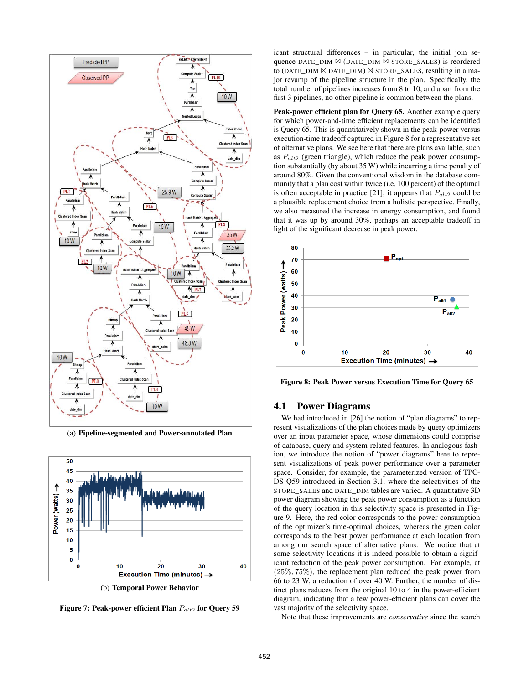

(a) Pipeline-segmented and Power-annotated Plan



(b) Temporal Power Behavior

Figure 7: Peak-power efficient Plan  $P_{alt2}$  for Query 59

icant structural differences – in particular, the initial join sequence DATE\_DIM  $\bowtie$  (DATE\_DIM  $\bowtie$  STORE\_SALES) is reordered to (DATE\_DIM  $\bowtie$  DATE\_DIM)  $\bowtie$  STORE\_SALES, resulting in a major revamp of the pipeline structure in the plan. Specifically, the total number of pipelines increases from 8 to 10, and apart from the first 3 pipelines, no other pipeline is common between the plans.

Peak-power efficient plan for Query 65. Another example query for which power-and-time efficient replacements can be identified is Query 65. This is quantitatively shown in the peak-power versus execution-time tradeoff captured in Figure 8 for a representative set of alternative plans. We see here that there are plans available, such as  $P_{alt2}$  (green triangle), which reduce the peak power consumption substantially (by about 35 W) while incurring a time penalty of around 80%. Given the conventional wisdom in the database community that a plan cost within twice (i.e. 100 percent) of the optimal is often acceptable in practice [21], it appears that  $P_{alt2}$  could be a plausible replacement choice from a holistic perspective. Finally, we also measured the increase in energy consumption, and found that it was up by around 30%, perhaps an acceptable tradeoff in light of the significant decrease in peak power.



Figure 8: Peak Power versus Execution Time for Query 65

## 4.1 Power Diagrams

We had introduced in [26] the notion of "plan diagrams" to represent visualizations of the plan choices made by query optimizers over an input parameter space, whose dimensions could comprise of database, query and system-related features. In analogous fashion, we introduce the notion of "power diagrams" here to represent visualizations of peak power performance over a parameter space. Consider, for example, the parameterized version of TPC-DS Q59 introduced in Section 3.1, where the selectivities of the STORE\_SALES and DATE\_DIM tables are varied. A quantitative 3D power diagram showing the peak power consumption as a function of the query location in this selectivity space is presented in Figure 9. Here, the red color corresponds to the power consumption of the optimizer's time-optimal choices, whereas the green color corresponds to the best power performance at each location from among our search space of alternative plans. We notice that at some selectivity locations it is indeed possible to obtain a significant reduction of the peak power consumption. For example, at (25%, 75%), the replacement plan reduced the peak power from 66 to 23 W, a reduction of over 40 W. Further, the number of distinct plans reduces from the original 10 to 4 in the power-efficient diagram, indicating that a few power-efficient plans can cover the vast majority of the selectivity space.

Note that these improvements are *conservative* since the search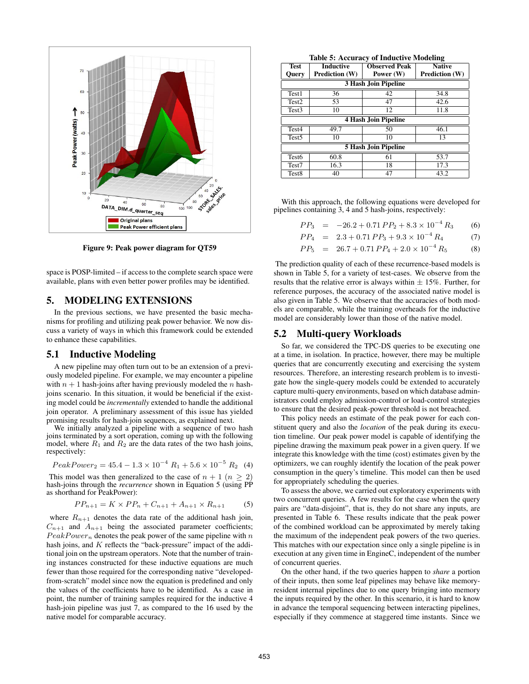

Figure 9: Peak power diagram for QT59

space is POSP-limited – if access to the complete search space were available, plans with even better power profiles may be identified.

## 5. MODELING EXTENSIONS

In the previous sections, we have presented the basic mechanisms for profiling and utilizing peak power behavior. We now discuss a variety of ways in which this framework could be extended to enhance these capabilities.

#### 5.1 Inductive Modeling

A new pipeline may often turn out to be an extension of a previously modeled pipeline. For example, we may encounter a pipeline with  $n + 1$  hash-joins after having previously modeled the n hashjoins scenario. In this situation, it would be beneficial if the existing model could be *incrementally* extended to handle the additional join operator. A preliminary assessment of this issue has yielded promising results for hash-join sequences, as explained next.

We initially analyzed a pipeline with a sequence of two hash joins terminated by a sort operation, coming up with the following model, where  $R_1$  and  $R_2$  are the data rates of the two hash joins, respectively:

$$
PeakPower_2 = 45.4 - 1.3 \times 10^{-4} R_1 + 5.6 \times 10^{-5} R_2
$$
 (4)

This model was then generalized to the case of  $n + 1$  ( $n \geq 2$ ) hash-joins through the *recurrence* shown in Equation 5 (using PP as shorthand for PeakPower):

$$
PP_{n+1} = K \times PP_n + C_{n+1} + A_{n+1} \times R_{n+1}
$$
 (5)

where  $R_{n+1}$  denotes the data rate of the additional hash join,  $C_{n+1}$  and  $A_{n+1}$  being the associated parameter coefficients;  $PeakPower_n$  denotes the peak power of the same pipeline with n hash joins, and  $K$  reflects the "back-pressure" impact of the additional join on the upstream operators. Note that the number of training instances constructed for these inductive equations are much fewer than those required for the corresponding native "developedfrom-scratch" model since now the equation is predefined and only the values of the coefficients have to be identified. As a case in point, the number of training samples required for the inductive 4 hash-join pipeline was just 7, as compared to the 16 used by the native model for comparable accuracy.

|  |  | <b>Table 5: Accuracy of Inductive Modeling</b> |  |
|--|--|------------------------------------------------|--|
|--|--|------------------------------------------------|--|

| <b>Test</b>                 | <b>Inductive</b>      | <b>Observed Peak</b>        | <b>Native</b>     |  |
|-----------------------------|-----------------------|-----------------------------|-------------------|--|
| <b>Query</b>                | <b>Prediction (W)</b> | Power (W)                   | Prediction (W)    |  |
|                             |                       | <b>3 Hash Join Pipeline</b> |                   |  |
| Test1                       | 36                    | 42                          | 34.8              |  |
| Test <sub>2</sub>           | 53                    | 47                          | $\overline{42.6}$ |  |
| Test <sub>3</sub>           | 10                    | 12                          | 11.8              |  |
| <b>4 Hash Join Pipeline</b> |                       |                             |                   |  |
| Test <sub>4</sub>           | 49.7                  | 50                          | 46.1              |  |
| Test <sub>5</sub>           | 10                    | 10                          | 13                |  |
| <b>5 Hash Join Pipeline</b> |                       |                             |                   |  |
| Test <sub>6</sub>           | 60.8                  | 61                          | 53.7              |  |
| Test7                       | 16.3                  | 18                          | 17.3              |  |
| Test <sub>8</sub>           | 40                    | 47                          | 43.2              |  |

With this approach, the following equations were developed for pipelines containing 3, 4 and 5 hash-joins, respectively:

$$
PP_3 = -26.2 + 0.71 PP_2 + 8.3 \times 10^{-4} R_3 \tag{6}
$$

$$
PP_4 = 2.3 + 0.71 PP_3 + 9.3 \times 10^{-4} R_4 \tag{7}
$$

$$
PP_5 = 26.7 + 0.71 PP_4 + 2.0 \times 10^{-4} R_5 \tag{8}
$$

The prediction quality of each of these recurrence-based models is shown in Table 5, for a variety of test-cases. We observe from the results that the relative error is always within  $\pm$  15%. Further, for reference purposes, the accuracy of the associated native model is also given in Table 5. We observe that the accuracies of both models are comparable, while the training overheads for the inductive model are considerably lower than those of the native model.

#### 5.2 Multi-query Workloads

So far, we considered the TPC-DS queries to be executing one at a time, in isolation. In practice, however, there may be multiple queries that are concurrently executing and exercising the system resources. Therefore, an interesting research problem is to investigate how the single-query models could be extended to accurately capture multi-query environments, based on which database administrators could employ admission-control or load-control strategies to ensure that the desired peak-power threshold is not breached.

This policy needs an estimate of the peak power for each constituent query and also the *location* of the peak during its execution timeline. Our peak power model is capable of identifying the pipeline drawing the maximum peak power in a given query. If we integrate this knowledge with the time (cost) estimates given by the optimizers, we can roughly identify the location of the peak power consumption in the query's timeline. This model can then be used for appropriately scheduling the queries.

To assess the above, we carried out exploratory experiments with two concurrent queries. A few results for the case when the query pairs are "data-disjoint", that is, they do not share any inputs, are presented in Table 6. These results indicate that the peak power of the combined workload can be approximated by merely taking the maximum of the independent peak powers of the two queries. This matches with our expectation since only a single pipeline is in execution at any given time in EngineC, independent of the number of concurrent queries.

On the other hand, if the two queries happen to *share* a portion of their inputs, then some leaf pipelines may behave like memoryresident internal pipelines due to one query bringing into memory the inputs required by the other. In this scenario, it is hard to know in advance the temporal sequencing between interacting pipelines, especially if they commence at staggered time instants. Since we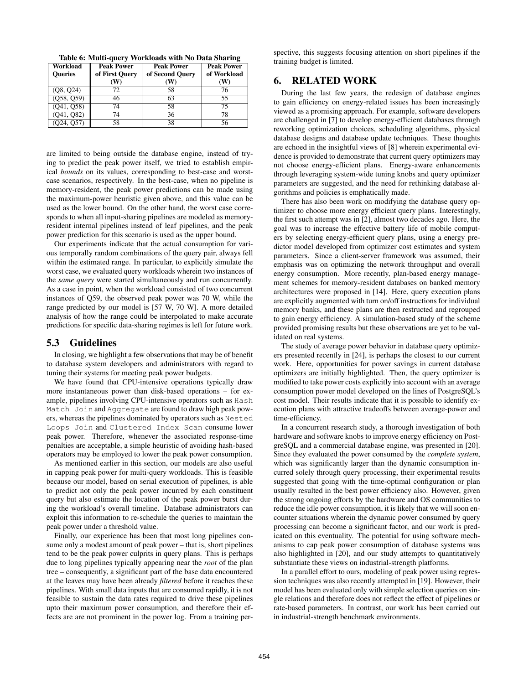| Table 6: Multi-query Workloads with No Data Sharing |  |
|-----------------------------------------------------|--|
|-----------------------------------------------------|--|

| Workload<br><b>Oueries</b> | <b>Peak Power</b><br>of First Query<br>W | <b>Peak Power</b><br>of Second Query<br>W | <b>Peak Power</b><br>of Workload<br>W |
|----------------------------|------------------------------------------|-------------------------------------------|---------------------------------------|
| (Q8, Q24)                  |                                          | 58                                        | 76                                    |
| (Q58, Q59)                 | 46                                       | 63                                        | 55                                    |
| (Q41, Q58)                 | 74                                       | 58                                        | 75                                    |
| (Q41, Q82)                 | 74                                       | 36                                        | 78                                    |
|                            | 58                                       | 38                                        | 56                                    |

are limited to being outside the database engine, instead of trying to predict the peak power itself, we tried to establish empirical *bounds* on its values, corresponding to best-case and worstcase scenarios, respectively. In the best-case, when no pipeline is memory-resident, the peak power predictions can be made using the maximum-power heuristic given above, and this value can be used as the lower bound. On the other hand, the worst case corresponds to when all input-sharing pipelines are modeled as memoryresident internal pipelines instead of leaf pipelines, and the peak power prediction for this scenario is used as the upper bound.

Our experiments indicate that the actual consumption for various temporally random combinations of the query pair, always fell within the estimated range. In particular, to explicitly simulate the worst case, we evaluated query workloads wherein two instances of the *same query* were started simultaneously and run concurrently. As a case in point, when the workload consisted of two concurrent instances of Q59, the observed peak power was 70 W, while the range predicted by our model is [57 W, 70 W]. A more detailed analysis of how the range could be interpolated to make accurate predictions for specific data-sharing regimes is left for future work.

#### 5.3 Guidelines

In closing, we highlight a few observations that may be of benefit to database system developers and administrators with regard to tuning their systems for meeting peak power budgets.

We have found that CPU-intensive operations typically draw more instantaneous power than disk-based operations – for example, pipelines involving CPU-intensive operators such as Hash Match Join and Aggregate are found to draw high peak powers, whereas the pipelines dominated by operators such as Nested Loops Join and Clustered Index Scan consume lower peak power. Therefore, whenever the associated response-time penalties are acceptable, a simple heuristic of avoiding hash-based operators may be employed to lower the peak power consumption.

As mentioned earlier in this section, our models are also useful in capping peak power for multi-query workloads. This is feasible because our model, based on serial execution of pipelines, is able to predict not only the peak power incurred by each constituent query but also estimate the location of the peak power burst during the workload's overall timeline. Database administrators can exploit this information to re-schedule the queries to maintain the peak power under a threshold value.

Finally, our experience has been that most long pipelines consume only a modest amount of peak power – that is, short pipelines tend to be the peak power culprits in query plans. This is perhaps due to long pipelines typically appearing near the *root* of the plan tree – consequently, a significant part of the base data encountered at the leaves may have been already *filtered* before it reaches these pipelines. With small data inputs that are consumed rapidly, it is not feasible to sustain the data rates required to drive these pipelines upto their maximum power consumption, and therefore their effects are are not prominent in the power log. From a training perspective, this suggests focusing attention on short pipelines if the training budget is limited.

## 6. RELATED WORK

During the last few years, the redesign of database engines to gain efficiency on energy-related issues has been increasingly viewed as a promising approach. For example, software developers are challenged in [7] to develop energy-efficient databases through reworking optimization choices, scheduling algorithms, physical database designs and database update techniques. These thoughts are echoed in the insightful views of [8] wherein experimental evidence is provided to demonstrate that current query optimizers may not choose energy-efficient plans. Energy-aware enhancements through leveraging system-wide tuning knobs and query optimizer parameters are suggested, and the need for rethinking database algorithms and policies is emphatically made.

There has also been work on modifying the database query optimizer to choose more energy efficient query plans. Interestingly, the first such attempt was in [2], almost two decades ago. Here, the goal was to increase the effective battery life of mobile computers by selecting energy-efficient query plans, using a energy predictor model developed from optimizer cost estimates and system parameters. Since a client-server framework was assumed, their emphasis was on optimizing the network throughput and overall energy consumption. More recently, plan-based energy management schemes for memory-resident databases on banked memory architectures were proposed in [14]. Here, query execution plans are explicitly augmented with turn on/off instructions for individual memory banks, and these plans are then restructed and regrouped to gain energy efficiency. A simulation-based study of the scheme provided promising results but these observations are yet to be validated on real systems.

The study of average power behavior in database query optimizers presented recently in [24], is perhaps the closest to our current work. Here, opportunities for power savings in current database optimizers are initially highlighted. Then, the query optimizer is modified to take power costs explicitly into account with an average consumption power model developed on the lines of PostgreSQL's cost model. Their results indicate that it is possible to identify execution plans with attractive tradeoffs between average-power and time-efficiency.

In a concurrent research study, a thorough investigation of both hardware and software knobs to improve energy efficiency on PostgreSQL and a commercial database engine, was presented in [20]. Since they evaluated the power consumed by the *complete system*, which was significantly larger than the dynamic consumption incurred solely through query processing, their experimental results suggested that going with the time-optimal configuration or plan usually resulted in the best power efficiency also. However, given the strong ongoing efforts by the hardware and OS communities to reduce the idle power consumption, it is likely that we will soon encounter situations wherein the dynamic power consumed by query processing can become a significant factor, and our work is predicated on this eventuality. The potential for using software mechanisms to cap peak power consumption of database systems was also highlighted in [20], and our study attempts to quantitatively substantiate these views on industrial-strength platforms.

In a parallel effort to ours, modeling of peak power using regression techniques was also recently attempted in [19]. However, their model has been evaluated only with simple selection queries on single relations and therefore does not reflect the effect of pipelines or rate-based parameters. In contrast, our work has been carried out in industrial-strength benchmark environments.